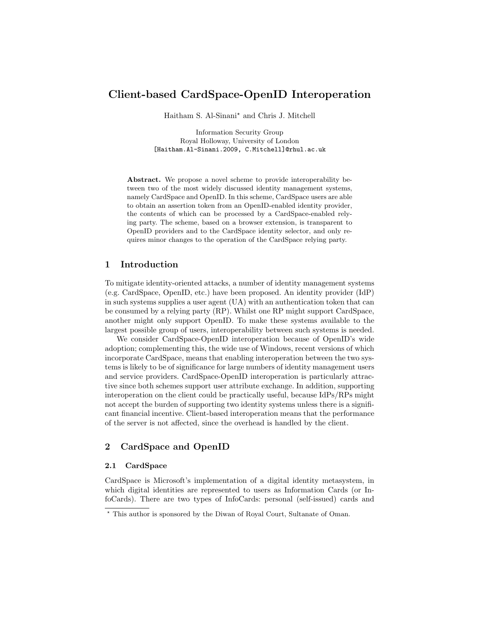# Client-based CardSpace-OpenID Interoperation

Haitham S. Al-Sinani? and Chris J. Mitchell

Information Security Group Royal Holloway, University of London [Haitham.Al-Sinani.2009, C.Mitchell]@rhul.ac.uk

Abstract. We propose a novel scheme to provide interoperability between two of the most widely discussed identity management systems, namely CardSpace and OpenID. In this scheme, CardSpace users are able to obtain an assertion token from an OpenID-enabled identity provider, the contents of which can be processed by a CardSpace-enabled relying party. The scheme, based on a browser extension, is transparent to OpenID providers and to the CardSpace identity selector, and only requires minor changes to the operation of the CardSpace relying party.

### 1 Introduction

To mitigate identity-oriented attacks, a number of identity management systems (e.g. CardSpace, OpenID, etc.) have been proposed. An identity provider (IdP) in such systems supplies a user agent (UA) with an authentication token that can be consumed by a relying party (RP). Whilst one RP might support CardSpace, another might only support OpenID. To make these systems available to the largest possible group of users, interoperability between such systems is needed.

We consider CardSpace-OpenID interoperation because of OpenID's wide adoption; complementing this, the wide use of Windows, recent versions of which incorporate CardSpace, means that enabling interoperation between the two systems is likely to be of significance for large numbers of identity management users and service providers. CardSpace-OpenID interoperation is particularly attractive since both schemes support user attribute exchange. In addition, supporting interoperation on the client could be practically useful, because IdPs/RPs might not accept the burden of supporting two identity systems unless there is a significant financial incentive. Client-based interoperation means that the performance of the server is not affected, since the overhead is handled by the client.

### 2 CardSpace and OpenID

#### 2.1 CardSpace

CardSpace is Microsoft's implementation of a digital identity metasystem, in which digital identities are represented to users as Information Cards (or InfoCards). There are two types of InfoCards: personal (self-issued) cards and

<sup>?</sup> This author is sponsored by the Diwan of Royal Court, Sultanate of Oman.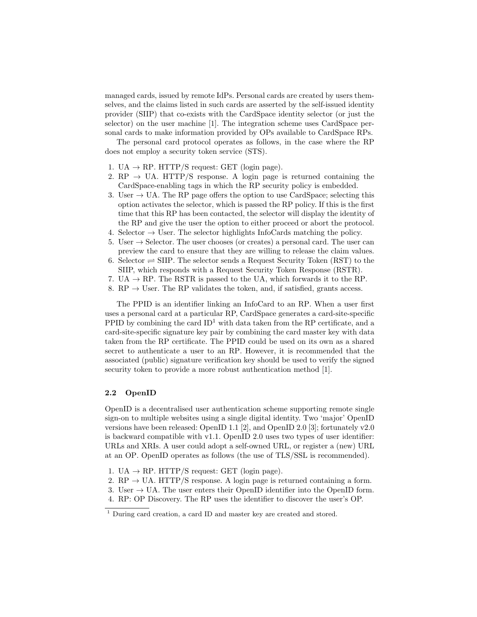managed cards, issued by remote IdPs. Personal cards are created by users themselves, and the claims listed in such cards are asserted by the self-issued identity provider (SIIP) that co-exists with the CardSpace identity selector (or just the selector) on the user machine [1]. The integration scheme uses CardSpace personal cards to make information provided by OPs available to CardSpace RPs.

The personal card protocol operates as follows, in the case where the RP does not employ a security token service (STS).

- 1. UA  $\rightarrow$  RP. HTTP/S request: GET (login page).
- 2. RP  $\rightarrow$  UA. HTTP/S response. A login page is returned containing the CardSpace-enabling tags in which the RP security policy is embedded.
- 3. User  $\rightarrow$  UA. The RP page offers the option to use CardSpace; selecting this option activates the selector, which is passed the RP policy. If this is the first time that this RP has been contacted, the selector will display the identity of the RP and give the user the option to either proceed or abort the protocol.
- 4. Selector  $\rightarrow$  User. The selector highlights InfoCards matching the policy.
- 5. User  $\rightarrow$  Selector. The user chooses (or creates) a personal card. The user can preview the card to ensure that they are willing to release the claim values.
- 6. Selector  $\rightleftharpoons$  SIIP. The selector sends a Request Security Token (RST) to the SIIP, which responds with a Request Security Token Response (RSTR).
- 7. UA  $\rightarrow$  RP. The RSTR is passed to the UA, which forwards it to the RP.
- 8. RP  $\rightarrow$  User. The RP validates the token, and, if satisfied, grants access.

The PPID is an identifier linking an InfoCard to an RP. When a user first uses a personal card at a particular RP, CardSpace generates a card-site-specific PPID by combining the card  $ID<sup>1</sup>$  with data taken from the RP certificate, and a card-site-specific signature key pair by combining the card master key with data taken from the RP certificate. The PPID could be used on its own as a shared secret to authenticate a user to an RP. However, it is recommended that the associated (public) signature verification key should be used to verify the signed security token to provide a more robust authentication method [1].

### 2.2 OpenID

OpenID is a decentralised user authentication scheme supporting remote single sign-on to multiple websites using a single digital identity. Two 'major' OpenID versions have been released: OpenID 1.1 [2], and OpenID 2.0 [3]; fortunately v2.0 is backward compatible with v1.1. OpenID 2.0 uses two types of user identifier: URLs and XRIs. A user could adopt a self-owned URL, or register a (new) URL at an OP. OpenID operates as follows (the use of TLS/SSL is recommended).

- 1. UA  $\rightarrow$  RP. HTTP/S request: GET (login page).
- 2.  $RP \rightarrow UA$ . HTTP/S response. A login page is returned containing a form.
- 3. User  $\rightarrow$  UA. The user enters their OpenID identifier into the OpenID form.
- 4. RP: OP Discovery. The RP uses the identifier to discover the user's OP.

<sup>&</sup>lt;sup>1</sup> During card creation, a card ID and master key are created and stored.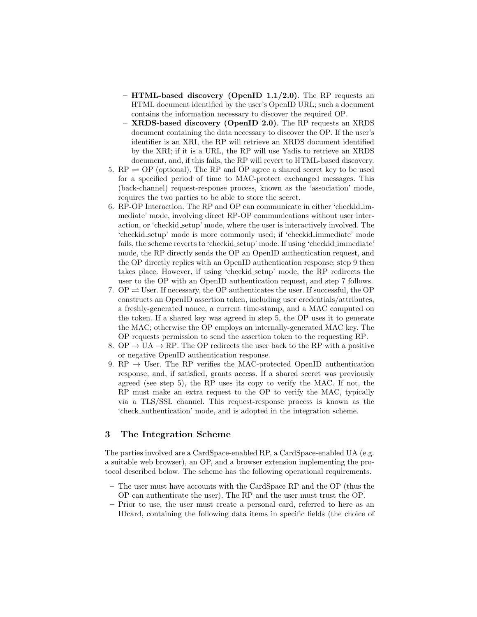- $-$  HTML-based discovery (OpenID 1.1/2.0). The RP requests an HTML document identified by the user's OpenID URL; such a document contains the information necessary to discover the required OP.
- XRDS-based discovery (OpenID 2.0). The RP requests an XRDS document containing the data necessary to discover the OP. If the user's identifier is an XRI, the RP will retrieve an XRDS document identified by the XRI; if it is a URL, the RP will use Yadis to retrieve an XRDS document, and, if this fails, the RP will revert to HTML-based discovery.
- 5.  $RP \rightleftharpoons OP$  (optional). The RP and OP agree a shared secret key to be used for a specified period of time to MAC-protect exchanged messages. This (back-channel) request-response process, known as the 'association' mode, requires the two parties to be able to store the secret.
- 6. RP-OP Interaction. The RP and OP can communicate in either 'checkid immediate' mode, involving direct RP-OP communications without user interaction, or 'checkid setup' mode, where the user is interactively involved. The 'checkid setup' mode is more commonly used; if 'checkid immediate' mode fails, the scheme reverts to 'checkid setup' mode. If using 'checkid immediate' mode, the RP directly sends the OP an OpenID authentication request, and the OP directly replies with an OpenID authentication response; step 9 then takes place. However, if using 'checkid setup' mode, the RP redirects the user to the OP with an OpenID authentication request, and step 7 follows.
- 7.  $OP \rightleftharpoons$  User. If necessary, the OP authenticates the user. If successful, the OP constructs an OpenID assertion token, including user credentials/attributes, a freshly-generated nonce, a current time-stamp, and a MAC computed on the token. If a shared key was agreed in step 5, the OP uses it to generate the MAC; otherwise the OP employs an internally-generated MAC key. The OP requests permission to send the assertion token to the requesting RP.
- 8. OP  $\rightarrow$  UA  $\rightarrow$  RP. The OP redirects the user back to the RP with a positive or negative OpenID authentication response.
- 9. RP  $\rightarrow$  User. The RP verifies the MAC-protected OpenID authentication response, and, if satisfied, grants access. If a shared secret was previously agreed (see step 5), the RP uses its copy to verify the MAC. If not, the RP must make an extra request to the OP to verify the MAC, typically via a TLS/SSL channel. This request-response process is known as the 'check authentication' mode, and is adopted in the integration scheme.

### 3 The Integration Scheme

The parties involved are a CardSpace-enabled RP, a CardSpace-enabled UA (e.g. a suitable web browser), an OP, and a browser extension implementing the protocol described below. The scheme has the following operational requirements.

- The user must have accounts with the CardSpace RP and the OP (thus the OP can authenticate the user). The RP and the user must trust the OP.
- Prior to use, the user must create a personal card, referred to here as an IDcard, containing the following data items in specific fields (the choice of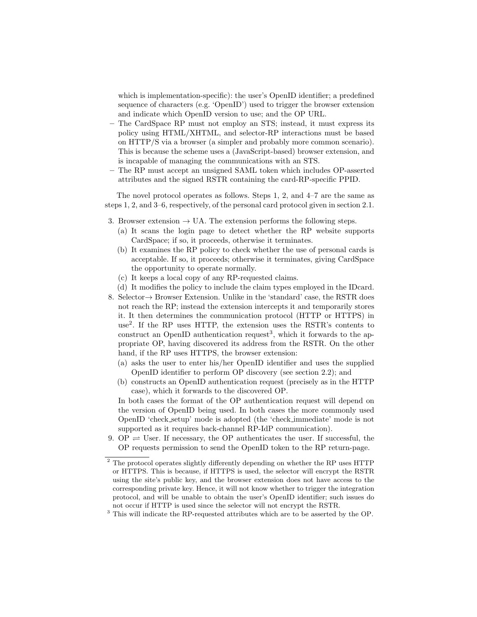which is implementation-specific): the user's OpenID identifier; a predefined sequence of characters (e.g. 'OpenID') used to trigger the browser extension and indicate which OpenID version to use; and the OP URL.

- The CardSpace RP must not employ an STS; instead, it must express its policy using HTML/XHTML, and selector-RP interactions must be based on HTTP/S via a browser (a simpler and probably more common scenario). This is because the scheme uses a (JavaScript-based) browser extension, and is incapable of managing the communications with an STS.
- The RP must accept an unsigned SAML token which includes OP-asserted attributes and the signed RSTR containing the card-RP-specific PPID.

The novel protocol operates as follows. Steps 1, 2, and 4–7 are the same as steps 1, 2, and 3–6, respectively, of the personal card protocol given in section 2.1.

- 3. Browser extension  $\rightarrow$  UA. The extension performs the following steps.
	- (a) It scans the login page to detect whether the RP website supports CardSpace; if so, it proceeds, otherwise it terminates.
	- (b) It examines the RP policy to check whether the use of personal cards is acceptable. If so, it proceeds; otherwise it terminates, giving CardSpace the opportunity to operate normally.
	- (c) It keeps a local copy of any RP-requested claims.
	- (d) It modifies the policy to include the claim types employed in the IDcard.
- 8. Selector  $\rightarrow$  Browser Extension. Unlike in the 'standard' case, the RSTR does not reach the RP; instead the extension intercepts it and temporarily stores it. It then determines the communication protocol (HTTP or HTTPS) in use<sup>2</sup> . If the RP uses HTTP, the extension uses the RSTR's contents to construct an OpenID authentication request<sup>3</sup>, which it forwards to the appropriate OP, having discovered its address from the RSTR. On the other hand, if the RP uses HTTPS, the browser extension:
	- (a) asks the user to enter his/her OpenID identifier and uses the supplied OpenID identifier to perform OP discovery (see section 2.2); and
	- (b) constructs an OpenID authentication request (precisely as in the HTTP case), which it forwards to the discovered OP.

In both cases the format of the OP authentication request will depend on the version of OpenID being used. In both cases the more commonly used OpenID 'check setup' mode is adopted (the 'check immediate' mode is not supported as it requires back-channel RP-IdP communication).

9.  $OP \rightleftharpoons$  User. If necessary, the OP authenticates the user. If successful, the OP requests permission to send the OpenID token to the RP return-page.

<sup>&</sup>lt;sup>2</sup> The protocol operates slightly differently depending on whether the RP uses HTTP or HTTPS. This is because, if HTTPS is used, the selector will encrypt the RSTR using the site's public key, and the browser extension does not have access to the corresponding private key. Hence, it will not know whether to trigger the integration protocol, and will be unable to obtain the user's OpenID identifier; such issues do not occur if HTTP is used since the selector will not encrypt the RSTR.

<sup>3</sup> This will indicate the RP-requested attributes which are to be asserted by the OP.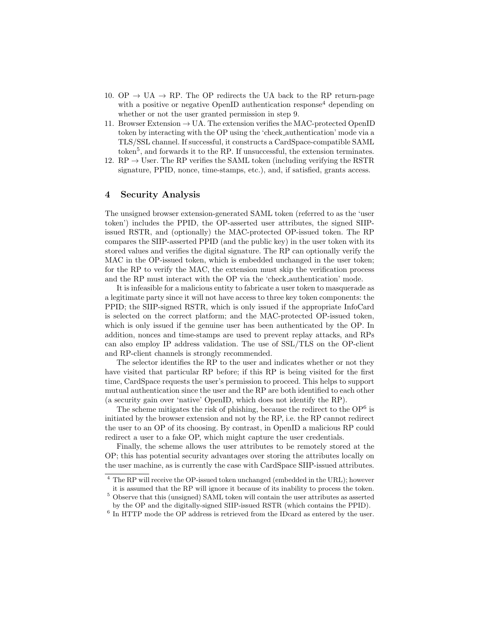- 10. OP  $\rightarrow$  UA  $\rightarrow$  RP. The OP redirects the UA back to the RP return-page with a positive or negative OpenID authentication response<sup>4</sup> depending on whether or not the user granted permission in step 9.
- 11. Browser Extension  $\rightarrow$  UA. The extension verifies the MAC-protected OpenID token by interacting with the OP using the 'check authentication' mode via a TLS/SSL channel. If successful, it constructs a CardSpace-compatible SAML  $to \text{ken}^5$ , and forwards it to the RP. If unsuccessful, the extension terminates.
- 12.  $RP \rightarrow$  User. The RP verifies the SAML token (including verifying the RSTR signature, PPID, nonce, time-stamps, etc.), and, if satisfied, grants access.

## 4 Security Analysis

The unsigned browser extension-generated SAML token (referred to as the 'user token') includes the PPID, the OP-asserted user attributes, the signed SIIPissued RSTR, and (optionally) the MAC-protected OP-issued token. The RP compares the SIIP-asserted PPID (and the public key) in the user token with its stored values and verifies the digital signature. The RP can optionally verify the MAC in the OP-issued token, which is embedded unchanged in the user token; for the RP to verify the MAC, the extension must skip the verification process and the RP must interact with the OP via the 'check authentication' mode.

It is infeasible for a malicious entity to fabricate a user token to masquerade as a legitimate party since it will not have access to three key token components: the PPID; the SIIP-signed RSTR, which is only issued if the appropriate InfoCard is selected on the correct platform; and the MAC-protected OP-issued token, which is only issued if the genuine user has been authenticated by the OP. In addition, nonces and time-stamps are used to prevent replay attacks, and RPs can also employ IP address validation. The use of SSL/TLS on the OP-client and RP-client channels is strongly recommended.

The selector identifies the RP to the user and indicates whether or not they have visited that particular RP before; if this RP is being visited for the first time, CardSpace requests the user's permission to proceed. This helps to support mutual authentication since the user and the RP are both identified to each other (a security gain over 'native' OpenID, which does not identify the RP).

The scheme mitigates the risk of phishing, because the redirect to the  $OP^6$  is initiated by the browser extension and not by the RP, i.e. the RP cannot redirect the user to an OP of its choosing. By contrast, in OpenID a malicious RP could redirect a user to a fake OP, which might capture the user credentials.

Finally, the scheme allows the user attributes to be remotely stored at the OP; this has potential security advantages over storing the attributes locally on the user machine, as is currently the case with CardSpace SIIP-issued attributes.

<sup>&</sup>lt;sup>4</sup> The RP will receive the OP-issued token unchanged (embedded in the URL); however it is assumed that the RP will ignore it because of its inability to process the token.

<sup>5</sup> Observe that this (unsigned) SAML token will contain the user attributes as asserted by the OP and the digitally-signed SIIP-issued RSTR (which contains the PPID).

<sup>6</sup> In HTTP mode the OP address is retrieved from the IDcard as entered by the user.